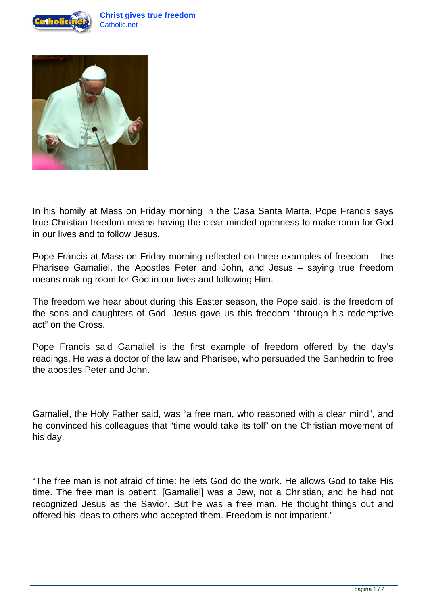



In his homily at Mass on Friday morning in the Casa Santa Marta, Pope Francis says true Christian freedom means having the clear-minded openness to make room for God in our lives and to follow Jesus.

Pope Francis at Mass on Friday morning reflected on three examples of freedom – the Pharisee Gamaliel, the Apostles Peter and John, and Jesus – saying true freedom means making room for God in our lives and following Him.

The freedom we hear about during this Easter season, the Pope said, is the freedom of the sons and daughters of God. Jesus gave us this freedom "through his redemptive act" on the Cross.

Pope Francis said Gamaliel is the first example of freedom offered by the day's readings. He was a doctor of the law and Pharisee, who persuaded the Sanhedrin to free the apostles Peter and John.

Gamaliel, the Holy Father said, was "a free man, who reasoned with a clear mind", and he convinced his colleagues that "time would take its toll" on the Christian movement of his day.

"The free man is not afraid of time: he lets God do the work. He allows God to take His time. The free man is patient. [Gamaliel] was a Jew, not a Christian, and he had not recognized Jesus as the Savior. But he was a free man. He thought things out and offered his ideas to others who accepted them. Freedom is not impatient."